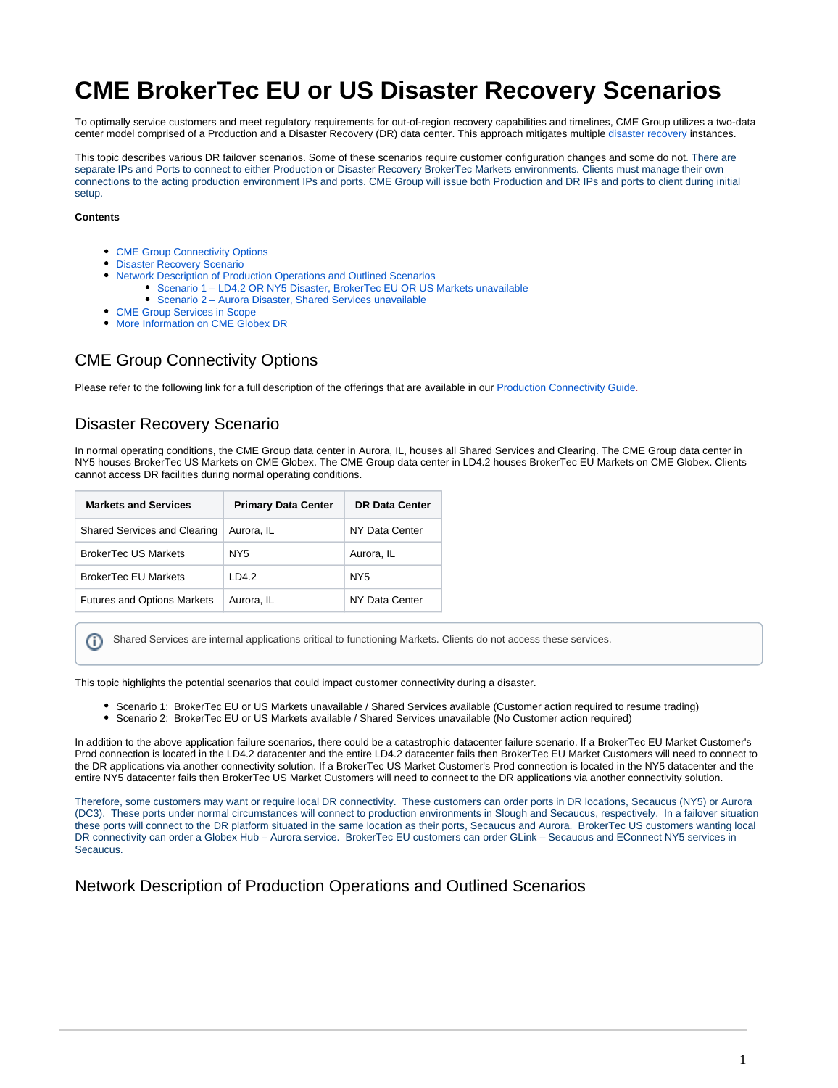# **CME BrokerTec EU or US Disaster Recovery Scenarios**

To optimally service customers and meet regulatory requirements for out-of-region recovery capabilities and timelines, CME Group utilizes a two-data center model comprised of a Production and a Disaster Recovery (DR) data center. This approach mitigates multiple disaster recovery instances.

This topic describes various DR failover scenarios. Some of these scenarios require customer configuration changes and some do not. There are separate IPs and Ports to connect to either Production or Disaster Recovery BrokerTec Markets environments. Clients must manage their own connections to the acting production environment IPs and ports. CME Group will issue both Production and DR IPs and ports to client during initial setup.

#### **Contents**

- [CME Group Connectivity Options](#page-0-0)
- [Disaster Recovery Scenario](#page-0-1)
- [Network Description of Production Operations and Outlined Scenarios](#page-0-2)
	- [Scenario 1 LD4.2 OR NY5 Disaster, BrokerTec EU OR US Markets unavailable](#page-1-0)
	- [Scenario 2 Aurora Disaster, Shared Services unavailable](#page-1-1)
- [CME Group Services in Scope](#page-2-0)
- [More Information on CME Globex DR](#page-2-1)

# <span id="page-0-0"></span>CME Group Connectivity Options

Please refer to the following link for a full description of the offerings that are available in our [Production Connectivity Guide](https://support.brokertec.com/Account/LogOn).

# <span id="page-0-1"></span>Disaster Recovery Scenario

In normal operating conditions, the CME Group data center in Aurora, IL, houses all Shared Services and Clearing. The CME Group data center in NY5 houses BrokerTec US Markets on CME Globex. The CME Group data center in LD4.2 houses BrokerTec EU Markets on CME Globex. Clients cannot access DR facilities during normal operating conditions.

| <b>Markets and Services</b>         | <b>Primary Data Center</b> | <b>DR Data Center</b> |
|-------------------------------------|----------------------------|-----------------------|
| <b>Shared Services and Clearing</b> | Aurora, IL                 | NY Data Center        |
| <b>BrokerTec US Markets</b>         | NY5                        | Aurora, IL            |
| <b>BrokerTec EU Markets</b>         | ID4.2                      | NY5                   |
| <b>Futures and Options Markets</b>  | Aurora, IL                 | NY Data Center        |

Shared Services are internal applications critical to functioning Markets. Clients do not access these services.G)

This topic highlights the potential scenarios that could impact customer connectivity during a disaster.

- Scenario 1: BrokerTec EU or US Markets unavailable / Shared Services available (Customer action required to resume trading) Scenario 2: BrokerTec EU or US Markets available / Shared Services unavailable (No Customer action required)
- In addition to the above application failure scenarios, there could be a catastrophic datacenter failure scenario. If a BrokerTec EU Market Customer's Prod connection is located in the LD4.2 datacenter and the entire LD4.2 datacenter fails then BrokerTec EU Market Customers will need to connect to the DR applications via another connectivity solution. If a BrokerTec US Market Customer's Prod connection is located in the NY5 datacenter and the entire NY5 datacenter fails then BrokerTec US Market Customers will need to connect to the DR applications via another connectivity solution.

Therefore, some customers may want or require local DR connectivity. These customers can order ports in DR locations, Secaucus (NY5) or Aurora (DC3). These ports under normal circumstances will connect to production environments in Slough and Secaucus, respectively. In a failover situation these ports will connect to the DR platform situated in the same location as their ports, Secaucus and Aurora. BrokerTec US customers wanting local DR connectivity can order a Globex Hub – Aurora service. BrokerTec EU customers can order GLink – Secaucus and EConnect NY5 services in Secaucus.

<span id="page-0-2"></span>Network Description of Production Operations and Outlined Scenarios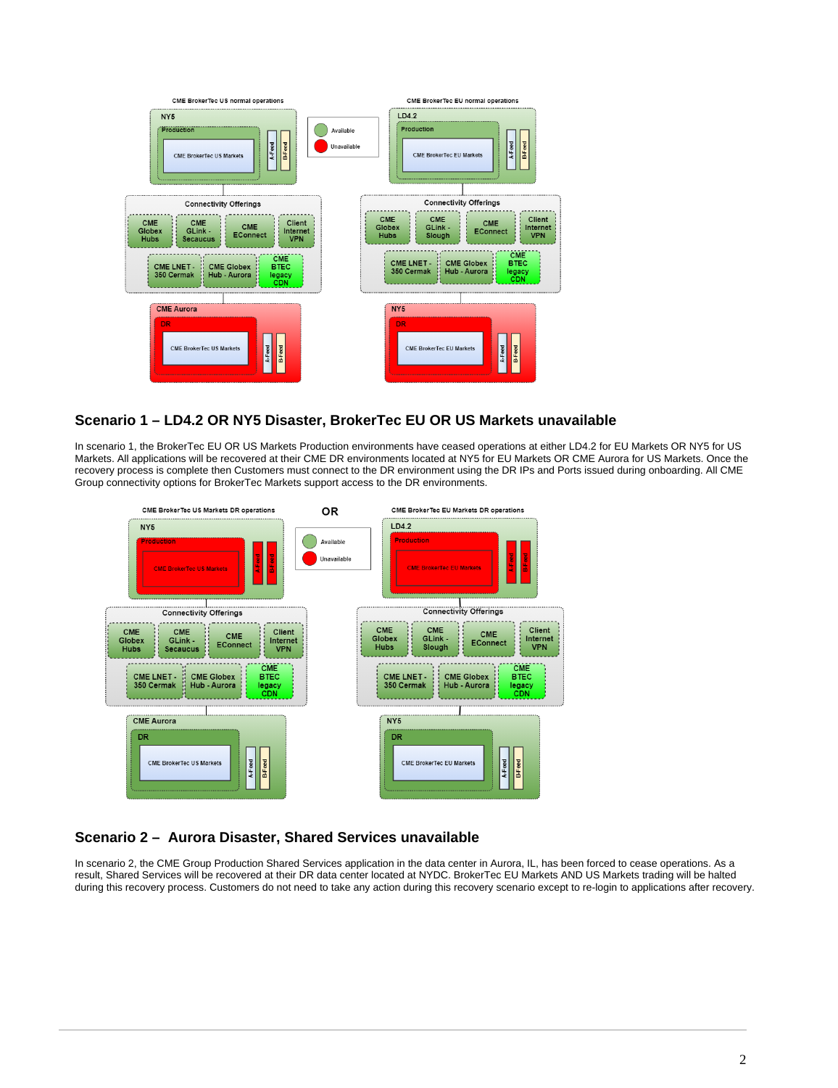

#### <span id="page-1-0"></span>**Scenario 1 – LD4.2 OR NY5 Disaster, BrokerTec EU OR US Markets unavailable**

In scenario 1, the BrokerTec EU OR US Markets Production environments have ceased operations at either LD4.2 for EU Markets OR NY5 for US Markets. All applications will be recovered at their CME DR environments located at NY5 for EU Markets OR CME Aurora for US Markets. Once the recovery process is complete then Customers must connect to the DR environment using the DR IPs and Ports issued during onboarding. All CME Group connectivity options for BrokerTec Markets support access to the DR environments.



### <span id="page-1-1"></span>**Scenario 2 – Aurora Disaster, Shared Services unavailable**

In scenario 2, the CME Group Production Shared Services application in the data center in Aurora, IL, has been forced to cease operations. As a result, Shared Services will be recovered at their DR data center located at NYDC. BrokerTec EU Markets AND US Markets trading will be halted during this recovery process. Customers do not need to take any action during this recovery scenario except to re-login to applications after recovery.